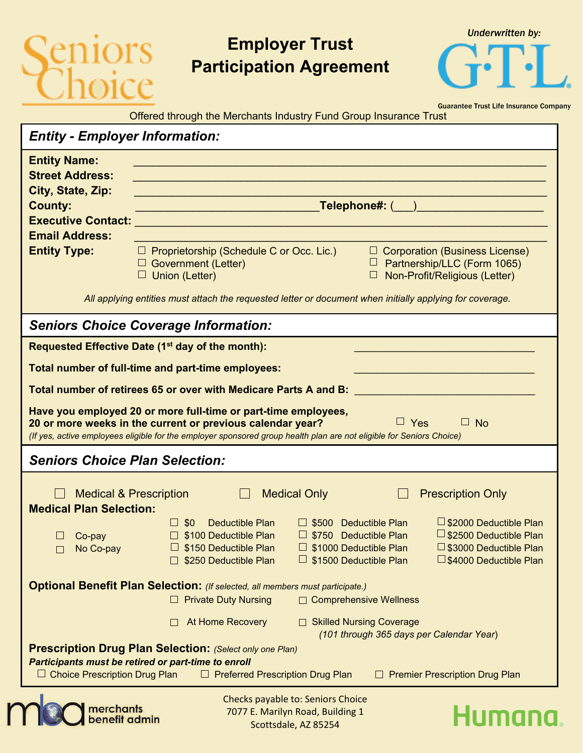## iors<br>voice

## **Employer Trust Participation Agreement**

*Underwritten by:*

Guarantee Trust Life Insurance Company Offered through the Merchants Industry Fund Group Insurance Trust

| <b>Entity - Employer Information:</b>                                                                                                                                                                                                                                           |                                                                                                                                                                                                                             |  |  |  |  |
|---------------------------------------------------------------------------------------------------------------------------------------------------------------------------------------------------------------------------------------------------------------------------------|-----------------------------------------------------------------------------------------------------------------------------------------------------------------------------------------------------------------------------|--|--|--|--|
| <b>Entity Name:</b>                                                                                                                                                                                                                                                             | <b>Service Service</b>                                                                                                                                                                                                      |  |  |  |  |
| <b>Street Address:</b>                                                                                                                                                                                                                                                          |                                                                                                                                                                                                                             |  |  |  |  |
| City, State, Zip:<br><b>County:</b>                                                                                                                                                                                                                                             | _Telephone#: <u>(___)</u> _________________                                                                                                                                                                                 |  |  |  |  |
| <b>Executive Contact:</b>                                                                                                                                                                                                                                                       | <u> 1989 - Johann John Barn, mars an t-Amerikaansk politiker (</u>                                                                                                                                                          |  |  |  |  |
| <b>Email Address:</b>                                                                                                                                                                                                                                                           |                                                                                                                                                                                                                             |  |  |  |  |
| <b>Entity Type:</b>                                                                                                                                                                                                                                                             | $\Box$ Proprietorship (Schedule C or Occ. Lic.)<br>$\Box$ Corporation (Business License)<br>$\Box$ Partnership/LLC (Form 1065)<br>$\Box$ Government (Letter)<br>$\Box$ Union (Letter)<br>Non-Profit/Religious (Letter)<br>⊔ |  |  |  |  |
| All applying entities must attach the requested letter or document when initially applying for coverage.                                                                                                                                                                        |                                                                                                                                                                                                                             |  |  |  |  |
|                                                                                                                                                                                                                                                                                 | <b>Seniors Choice Coverage Information:</b>                                                                                                                                                                                 |  |  |  |  |
| Requested Effective Date (1 <sup>st</sup> day of the month):                                                                                                                                                                                                                    |                                                                                                                                                                                                                             |  |  |  |  |
| Total number of full-time and part-time employees:                                                                                                                                                                                                                              |                                                                                                                                                                                                                             |  |  |  |  |
| Total number of retirees 65 or over with Medicare Parts A and B:                                                                                                                                                                                                                |                                                                                                                                                                                                                             |  |  |  |  |
| Have you employed 20 or more full-time or part-time employees,<br>$\Box$ Yes<br>$\Box$ No<br>20 or more weeks in the current or previous calendar year?<br>(If yes, active employees eligible for the employer sponsored group health plan are not eligible for Seniors Choice) |                                                                                                                                                                                                                             |  |  |  |  |
| <b>Seniors Choice Plan Selection:</b>                                                                                                                                                                                                                                           |                                                                                                                                                                                                                             |  |  |  |  |
| <b>Medical &amp; Prescription</b><br><b>Medical Only</b><br><b>Prescription Only</b><br>$\Box$<br><b>Medical Plan Selection:</b>                                                                                                                                                |                                                                                                                                                                                                                             |  |  |  |  |
|                                                                                                                                                                                                                                                                                 | □ \$2000 Deductible Plan<br>Deductible Plan<br>$\Box$ \$500 Deductible Plan<br>$\Box$ \$0                                                                                                                                   |  |  |  |  |
| Co-pay<br>No Co-pay                                                                                                                                                                                                                                                             | $\Box$ \$2500 Deductible Plan<br>□ \$100 Deductible Plan<br>$\Box$ \$750 Deductible Plan<br>S1000 Deductible Plan<br>□ \$3000 Deductible Plan<br>□ \$150 Deductible Plan                                                    |  |  |  |  |
|                                                                                                                                                                                                                                                                                 | $\Box$ \$1500 Deductible Plan<br>□ \$4000 Deductible Plan<br>\$250 Deductible Plan                                                                                                                                          |  |  |  |  |
| <b>Optional Benefit Plan Selection:</b> (If selected, all members must participate.)<br>□ Comprehensive Wellness<br><b>Private Duty Nursing</b>                                                                                                                                 |                                                                                                                                                                                                                             |  |  |  |  |
|                                                                                                                                                                                                                                                                                 | At Home Recovery<br>□ Skilled Nursing Coverage<br>(101 through 365 days per Calendar Year)                                                                                                                                  |  |  |  |  |
| <b>Prescription Drug Plan Selection: (Select only one Plan)</b><br>Participants must be retired or part-time to enroll<br>$\Box$ Choice Prescription Drug Plan<br>$\Box$ Preferred Prescription Drug Plan<br><b>Premier Prescription Drug Plan</b><br>□                         |                                                                                                                                                                                                                             |  |  |  |  |
| Checks payable to: Seniors Choice                                                                                                                                                                                                                                               |                                                                                                                                                                                                                             |  |  |  |  |
| merchants<br>benefit admin                                                                                                                                                                                                                                                      | 7077 E. Marilyn Road, Building 1<br>Humn<br>Scottsdale A785254                                                                                                                                                              |  |  |  |  |

Scottsdale, AZ 85254